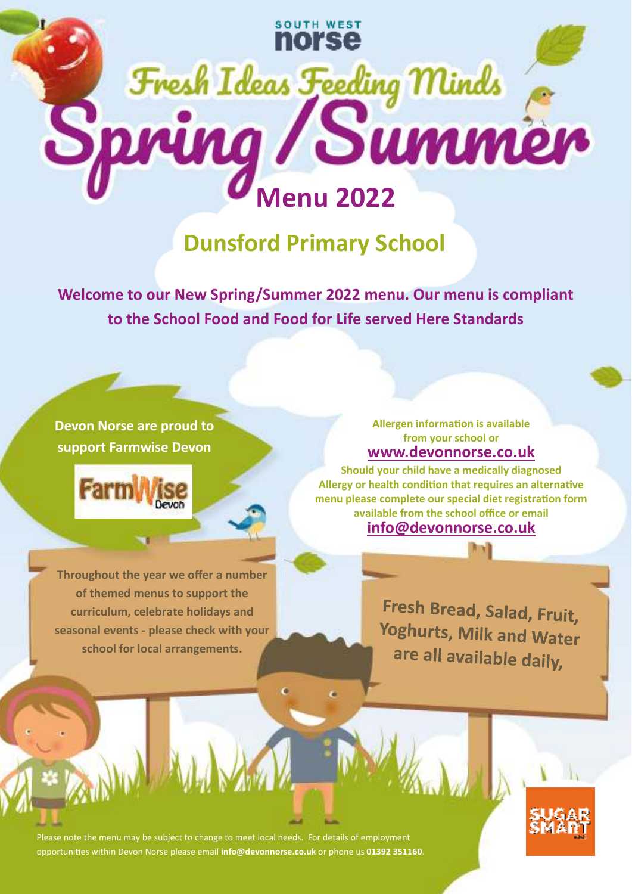

## **Dunsford Primary School**

**Welcome to our New Spring/Summer 2022 menu. Our menu is compliant to the School Food and Food for Life served Here Standards** 

## **Devon Norse are proud to support Farmwise Devon**



**Throughout the year we offer a number of themed menus to support the curriculum, celebrate holidays and seasonal events - please check with your school for local arrangements.** 

## **www.devonnorse.co.uk Allergen information is available from your school or**

**info@devonnorse.co.uk Should your child have a medically diagnosed**  Allergy or health condition that requires an alternative menu please complete our special diet registration form **available from the school office or email** 

> Fresh Bread, Salad, Fruit, Yoghurts, Milk and Water are all available daily,

Please note the menu may be subject to change to meet local needs. For details of employment opportunies within Devon Norse please email **info@devonnorse.co.uk** or phone us **01392 351160**.